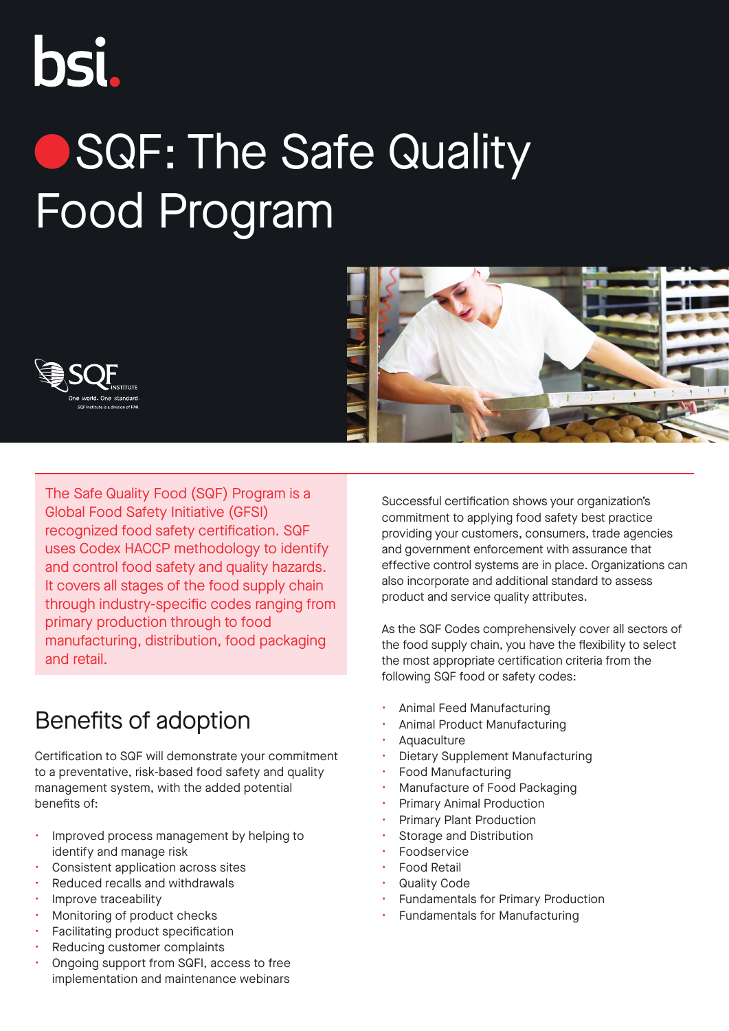

# **OSQF: The Safe Quality** Food Program





The Safe Quality Food (SQF) Program is a Global Food Safety Initiative (GFSI) recognized food safety certification. SQF uses Codex HACCP methodology to identify and control food safety and quality hazards. It covers all stages of the food supply chain through industry-specific codes ranging from primary production through to food manufacturing, distribution, food packaging and retail.

### Benefits of adoption

Certification to SQF will demonstrate your commitment to a preventative, risk-based food safety and quality management system, with the added potential benefits of:

- Improved process management by helping to identify and manage risk
- Consistent application across sites
- Reduced recalls and withdrawals
- Improve traceability
- Monitoring of product checks
- Facilitating product specification
- Reducing customer complaints
- Ongoing support from SQFI, access to free implementation and maintenance webinars

Successful certification shows your organization's commitment to applying food safety best practice providing your customers, consumers, trade agencies and government enforcement with assurance that effective control systems are in place. Organizations can also incorporate and additional standard to assess product and service quality attributes.

As the SQF Codes comprehensively cover all sectors of the food supply chain, you have the flexibility to select the most appropriate certification criteria from the following SQF food or safety codes:

- Animal Feed Manufacturing
- Animal Product Manufacturing
- **Aquaculture**
- Dietary Supplement Manufacturing
- Food Manufacturing
- Manufacture of Food Packaging
- Primary Animal Production
- Primary Plant Production
- Storage and Distribution
- Foodservice
- Food Retail
- **Quality Code**
- Fundamentals for Primary Production
- Fundamentals for Manufacturing